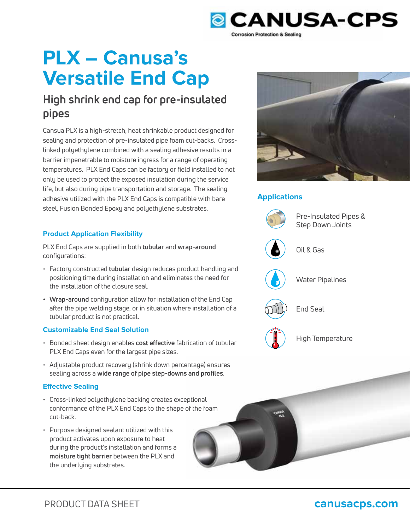

# **PLX – Canusa's Versatile End Cap**

## **High shrink end cap for pre-insulated pipes**

Cansua PLX is a high-stretch, heat shrinkable product designed for sealing and protection of pre-insulated pipe foam cut-backs. Crosslinked polyethylene combined with a sealing adhesive results in a barrier impenetrable to moisture ingress for a range of operating temperatures. PLX End Caps can be factory or field installed to not only be used to protect the exposed insulation during the service life, but also during pipe transportation and storage. The sealing adhesive utilized with the PLX End Caps is compatible with bare steel, Fusion Bonded Epoxy and polyethylene substrates.

## **Product Application Flexibility**

PLX End Caps are supplied in both **tubular** and **wrap-around**  configurations:

- Factory constructed **tubular** design reduces product handling and positioning time during installation and eliminates the need for the installation of the closure seal.
- **Wrap-around** configuration allow for installation of the End Cap after the pipe welding stage, or in situation where installation of a tubular product is not practical.

### **Customizable End Seal Solution**

- Bonded sheet design enables **cost effective** fabrication of tubular PLX End Caps even for the largest pipe sizes.
- Adjustable product recovery (shrink down percentage) ensures sealing across a **wide range of pipe step-downs and profiles**. **s**

### **Effective Sealing**

- Cross-linked polyethylene backing creates exceptional conformance of the PLX End Caps to the shape of the foam cut-back.
- Purpose designed sealant utilized with this product activates upon exposure to heat during the product's installation and forms a **moisture tight barrier** between the PLX and the underlying substrates.



## **Applications**